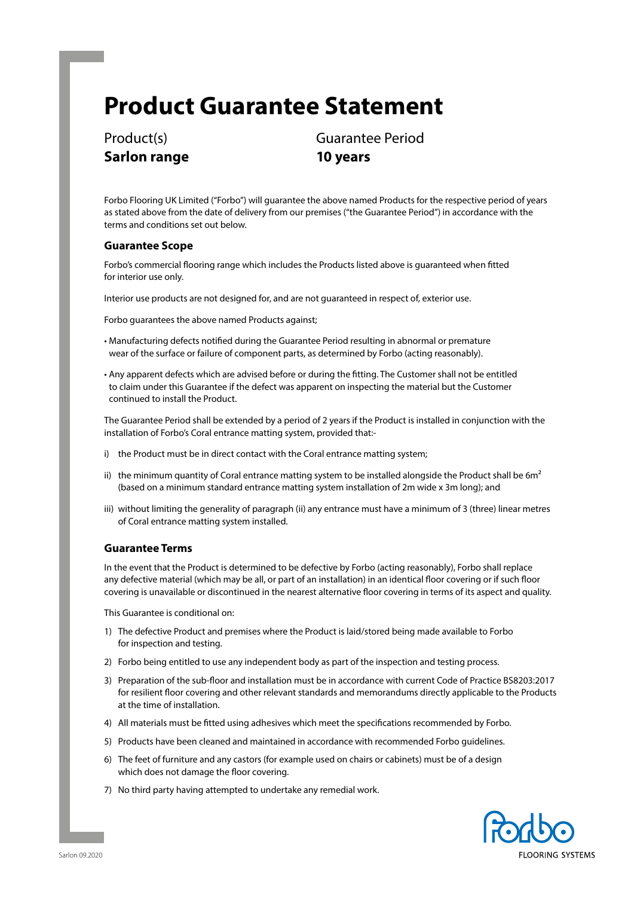# **Product Guarantee Statement**

**Sarlon range 10 years**

Product(s) Guarantee Period

Forbo Flooring UK Limited ("Forbo") will guarantee the above named Products for the respective period of years as stated above from the date of delivery from our premises ("the Guarantee Period") in accordance with the terms and conditions set out below.

## **Guarantee Scope**

Forbo's commercial flooring range which includes the Products listed above is guaranteed when fitted for interior use only.

Interior use products are not designed for, and are not guaranteed in respect of, exterior use.

Forbo guarantees the above named Products against;

- Manufacturing defects notified during the Guarantee Period resulting in abnormal or premature wear of the surface or failure of component parts, as determined by Forbo (acting reasonably).
- Any apparent defects which are advised before or during the fitting. The Customer shall not be entitled to claim under this Guarantee if the defect was apparent on inspecting the material but the Customer continued to install the Product.

The Guarantee Period shall be extended by a period of 2 years if the Product is installed in conjunction with the installation of Forbo's Coral entrance matting system, provided that:-

- i) the Product must be in direct contact with the Coral entrance matting system;
- ii) the minimum quantity of Coral entrance matting system to be installed alongside the Product shall be  $6m<sup>2</sup>$ (based on a minimum standard entrance matting system installation of 2m wide x 3m long); and
- iii) without limiting the generality of paragraph (ii) any entrance must have a minimum of 3 (three) linear metres of Coral entrance matting system installed.

## **Guarantee Terms**

In the event that the Product is determined to be defective by Forbo (acting reasonably), Forbo shall replace any defective material (which may be all, or part of an installation) in an identical floor covering or if such floor covering is unavailable or discontinued in the nearest alternative floor covering in terms of its aspect and quality.

This Guarantee is conditional on:

- 1) The defective Product and premises where the Product is laid/stored being made available to Forbo for inspection and testing.
- 2) Forbo being entitled to use any independent body as part of the inspection and testing process.
- 3) Preparation of the sub-floor and installation must be in accordance with current Code of Practice BS8203:2017 for resilient floor covering and other relevant standards and memorandums directly applicable to the Products at the time of installation.
- 4) All materials must be fitted using adhesives which meet the specifications recommended by Forbo.
- 5) Products have been cleaned and maintained in accordance with recommended Forbo guidelines.
- 6) The feet of furniture and any castors (for example used on chairs or cabinets) must be of a design which does not damage the floor covering.
- 7) No third party having attempted to undertake any remedial work.